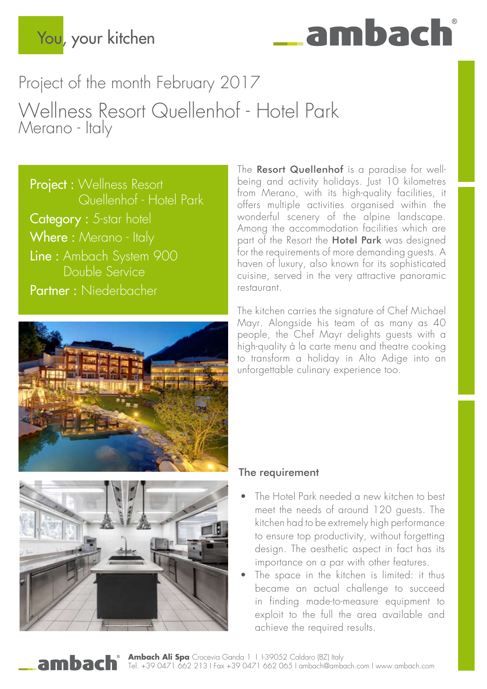

Project of the month February 2017 Wellness Resort Quellenhof - Hotel Park Merano - Italy

Project : Wellness Resort Quellenhof - Hotel Park Category : 5-star hotel Where: Merano - Italy Line : Ambach System 900 Double Service Partner : Niederbacher



The Resort Quellenhof is a paradise for wellbeing and activity holidays. Just 10 kilometres from Merano, with its high-quality facilities, it offers multiple activities organised within the wonderful scenery of the alpine landscape. Among the accommodation facilities which are part of the Resort the **Hotel Park** was designed for the requirements of more demanding guests. A haven of luxury, also known for its sophisticated cuisine, served in the very attractive panoramic restaurant.

The kitchen carries the signature of Chef Michael Mayr. Alongside his team of as many as 40 people, the Chef Mayr delights guests with a high-quality à la carte menu and theatre cooking to transform a holiday in Alto Adige into an unforgettable culinary experience too.



## The requirement

- The Hotel Park needed a new kitchen to best meet the needs of around 120 guests. The kitchen had to be extremely high performance to ensure top productivity, without forgetting design. The aesthetic aspect in fact has its importance on a par with other features.
- The space in the kitchen is limited: it thus became an actual challenge to succeed in finding made-to-measure equipment to exploit to the full the area available and achieve the required results.

Ambach Ali Spa Crocevia Ganda 1 | 1-39052 Caldaro (BZ) Italy Tel. +39 0471 662 213 I Fax +39 0471 662 065 I ambach@ambach.com I www.ambach.com